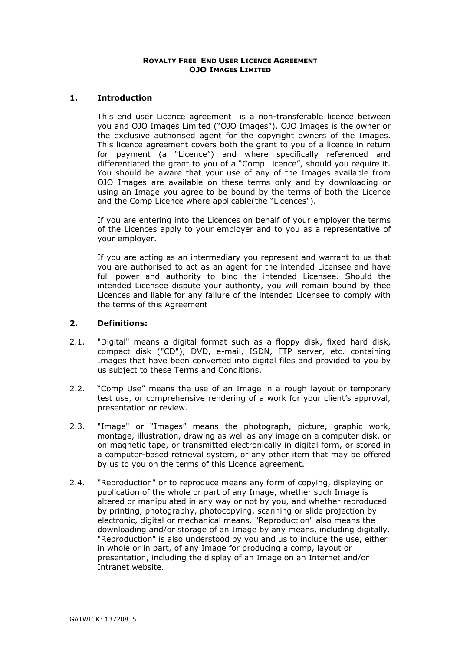### **ROYALTY FREE END USER LICENCE AGREEMENT OJO IMAGES LIMITED**

## **1. Introduction**

This end user Licence agreement is a non-transferable licence between you and OJO Images Limited ("OJO Images"). OJO Images is the owner or the exclusive authorised agent for the copyright owners of the Images. This licence agreement covers both the grant to you of a licence in return for payment (a "Licence") and where specifically referenced and differentiated the grant to you of a "Comp Licence", should you require it. You should be aware that your use of any of the Images available from OJO Images are available on these terms only and by downloading or using an Image you agree to be bound by the terms of both the Licence and the Comp Licence where applicable(the "Licences").

If you are entering into the Licences on behalf of your employer the terms of the Licences apply to your employer and to you as a representative of your employer.

If you are acting as an intermediary you represent and warrant to us that you are authorised to act as an agent for the intended Licensee and have full power and authority to bind the intended Licensee. Should the intended Licensee dispute your authority, you will remain bound by thee Licences and liable for any failure of the intended Licensee to comply with the terms of this Agreement

# **2. Definitions:**

- 2.1. "Digital" means a digital format such as a floppy disk, fixed hard disk, compact disk ("CD"), DVD, e-mail, ISDN, FTP server, etc. containing Images that have been converted into digital files and provided to you by us subject to these Terms and Conditions.
- 2.2. "Comp Use" means the use of an Image in a rough layout or temporary test use, or comprehensive rendering of a work for your client's approval, presentation or review.
- 2.3. "Image" or "Images" means the photograph, picture, graphic work, montage, illustration, drawing as well as any image on a computer disk, or on magnetic tape, or transmitted electronically in digital form, or stored in a computer-based retrieval system, or any other item that may be offered by us to you on the terms of this Licence agreement.
- 2.4. "Reproduction" or to reproduce means any form of copying, displaying or publication of the whole or part of any Image, whether such Image is altered or manipulated in any way or not by you, and whether reproduced by printing, photography, photocopying, scanning or slide projection by electronic, digital or mechanical means. "Reproduction" also means the downloading and/or storage of an Image by any means, including digitally. "Reproduction" is also understood by you and us to include the use, either in whole or in part, of any Image for producing a comp, layout or presentation, including the display of an Image on an Internet and/or Intranet website.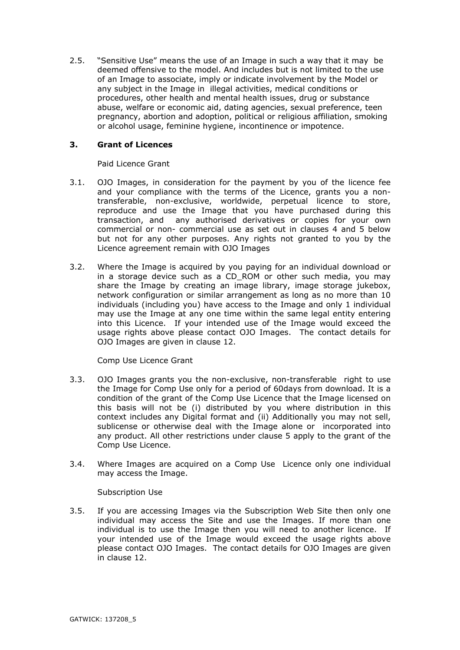2.5. "Sensitive Use" means the use of an Image in such a way that it may be deemed offensive to the model. And includes but is not limited to the use of an Image to associate, imply or indicate involvement by the Model or any subject in the Image in illegal activities, medical conditions or procedures, other health and mental health issues, drug or substance abuse, welfare or economic aid, dating agencies, sexual preference, teen pregnancy, abortion and adoption, political or religious affiliation, smoking or alcohol usage, feminine hygiene, incontinence or impotence.

# **3. Grant of Licences**

Paid Licence Grant

- 3.1. OJO Images, in consideration for the payment by you of the licence fee and your compliance with the terms of the Licence, grants you a nontransferable, non-exclusive, worldwide, perpetual licence to store, reproduce and use the Image that you have purchased during this transaction, and any authorised derivatives or copies for your own commercial or non- commercial use as set out in clauses 4 and 5 below but not for any other purposes. Any rights not granted to you by the Licence agreement remain with OJO Images
- 3.2. Where the Image is acquired by you paying for an individual download or in a storage device such as a CD\_ROM or other such media, you may share the Image by creating an image library, image storage jukebox, network configuration or similar arrangement as long as no more than 10 individuals (including you) have access to the Image and only 1 individual may use the Image at any one time within the same legal entity entering into this Licence. If your intended use of the Image would exceed the usage rights above please contact OJO Images. The contact details for OJO Images are given in clause 12.

Comp Use Licence Grant

- 3.3. OJO Images grants you the non-exclusive, non-transferable right to use the Image for Comp Use only for a period of 60days from download. It is a condition of the grant of the Comp Use Licence that the Image licensed on this basis will not be (i) distributed by you where distribution in this context includes any Digital format and (ii) Additionally you may not sell, sublicense or otherwise deal with the Image alone or incorporated into any product. All other restrictions under clause 5 apply to the grant of the Comp Use Licence.
- 3.4. Where Images are acquired on a Comp Use Licence only one individual may access the Image.

Subscription Use

3.5. If you are accessing Images via the Subscription Web Site then only one individual may access the Site and use the Images. If more than one individual is to use the Image then you will need to another licence. If your intended use of the Image would exceed the usage rights above please contact OJO Images. The contact details for OJO Images are given in clause 12.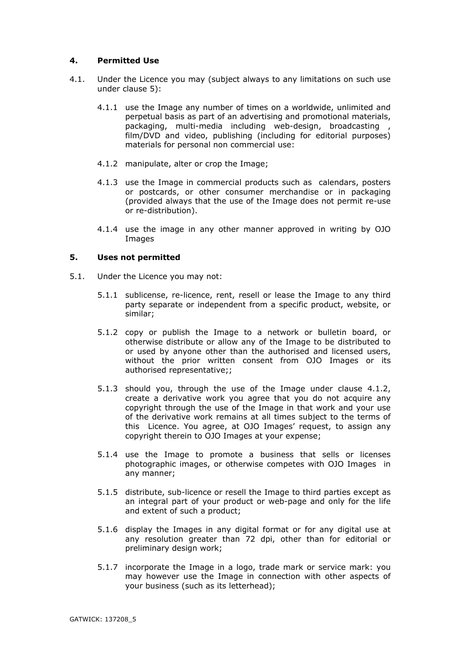# **4. Permitted Use**

- 4.1. Under the Licence you may (subject always to any limitations on such use under clause 5):
	- 4.1.1 use the Image any number of times on a worldwide, unlimited and perpetual basis as part of an advertising and promotional materials, packaging, multi-media including web-design, broadcasting film/DVD and video, publishing (including for editorial purposes) materials for personal non commercial use:
	- 4.1.2 manipulate, alter or crop the Image;
	- 4.1.3 use the Image in commercial products such as calendars, posters or postcards, or other consumer merchandise or in packaging (provided always that the use of the Image does not permit re-use or re-distribution).
	- 4.1.4 use the image in any other manner approved in writing by OJO **Images**

### **5. Uses not permitted**

- 5.1. Under the Licence you may not:
	- 5.1.1 sublicense, re-licence, rent, resell or lease the Image to any third party separate or independent from a specific product, website, or similar;
	- 5.1.2 copy or publish the Image to a network or bulletin board, or otherwise distribute or allow any of the Image to be distributed to or used by anyone other than the authorised and licensed users, without the prior written consent from OJO Images or its authorised representative;;
	- 5.1.3 should you, through the use of the Image under clause 4.1.2, create a derivative work you agree that you do not acquire any copyright through the use of the Image in that work and your use of the derivative work remains at all times subject to the terms of this Licence. You agree, at OJO Images' request, to assign any copyright therein to OJO Images at your expense;
	- 5.1.4 use the Image to promote a business that sells or licenses photographic images, or otherwise competes with OJO Images in any manner;
	- 5.1.5 distribute, sub-licence or resell the Image to third parties except as an integral part of your product or web-page and only for the life and extent of such a product;
	- 5.1.6 display the Images in any digital format or for any digital use at any resolution greater than 72 dpi, other than for editorial or preliminary design work;
	- 5.1.7 incorporate the Image in a logo, trade mark or service mark: you may however use the Image in connection with other aspects of your business (such as its letterhead);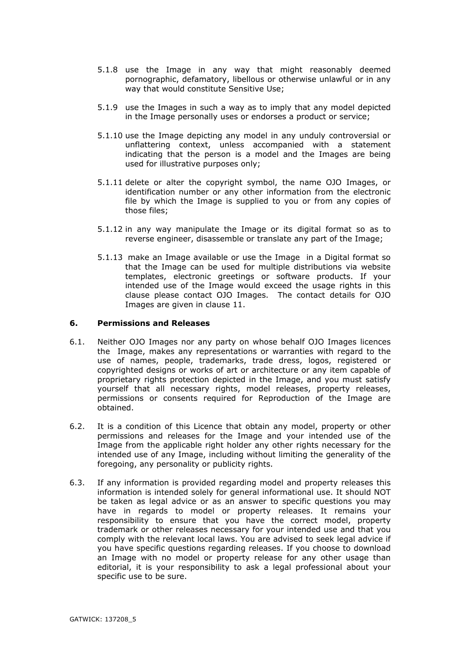- 5.1.8 use the Image in any way that might reasonably deemed pornographic, defamatory, libellous or otherwise unlawful or in any way that would constitute Sensitive Use;
- 5.1.9 use the Images in such a way as to imply that any model depicted in the Image personally uses or endorses a product or service;
- 5.1.10 use the Image depicting any model in any unduly controversial or unflattering context, unless accompanied with a statement indicating that the person is a model and the Images are being used for illustrative purposes only;
- 5.1.11 delete or alter the copyright symbol, the name OJO Images, or identification number or any other information from the electronic file by which the Image is supplied to you or from any copies of those files;
- 5.1.12 in any way manipulate the Image or its digital format so as to reverse engineer, disassemble or translate any part of the Image;
- 5.1.13 make an Image available or use the Image in a Digital format so that the Image can be used for multiple distributions via website templates, electronic greetings or software products. If your intended use of the Image would exceed the usage rights in this clause please contact OJO Images. The contact details for OJO Images are given in clause 11.

### **6. Permissions and Releases**

- 6.1. Neither OJO Images nor any party on whose behalf OJO Images licences the Image, makes any representations or warranties with regard to the use of names, people, trademarks, trade dress, logos, registered or copyrighted designs or works of art or architecture or any item capable of proprietary rights protection depicted in the Image, and you must satisfy yourself that all necessary rights, model releases, property releases, permissions or consents required for Reproduction of the Image are obtained.
- 6.2. It is a condition of this Licence that obtain any model, property or other permissions and releases for the Image and your intended use of the Image from the applicable right holder any other rights necessary for the intended use of any Image, including without limiting the generality of the foregoing, any personality or publicity rights.
- 6.3. If any information is provided regarding model and property releases this information is intended solely for general informational use. It should NOT be taken as legal advice or as an answer to specific questions you may have in regards to model or property releases. It remains your responsibility to ensure that you have the correct model, property trademark or other releases necessary for your intended use and that you comply with the relevant local laws. You are advised to seek legal advice if you have specific questions regarding releases. If you choose to download an Image with no model or property release for any other usage than editorial, it is your responsibility to ask a legal professional about your specific use to be sure.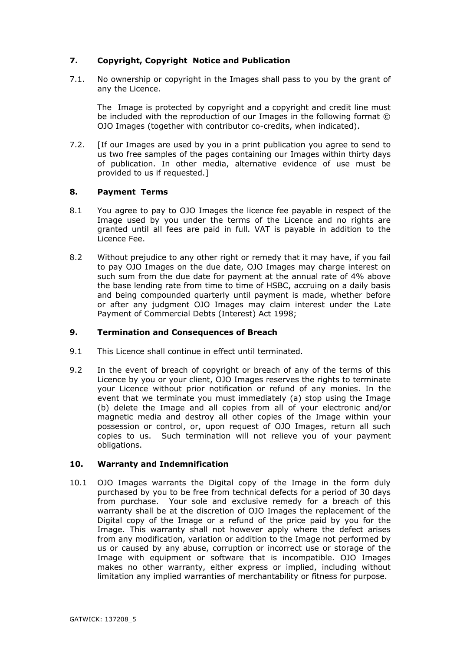# **7. Copyright, Copyright Notice and Publication**

7.1. No ownership or copyright in the Images shall pass to you by the grant of any the Licence.

The Image is protected by copyright and a copyright and credit line must be included with the reproduction of our Images in the following format © OJO Images (together with contributor co-credits, when indicated).

7.2. [If our Images are used by you in a print publication you agree to send to us two free samples of the pages containing our Images within thirty days of publication. In other media, alternative evidence of use must be provided to us if requested.]

## **8. Payment Terms**

- 8.1 You agree to pay to OJO Images the licence fee payable in respect of the Image used by you under the terms of the Licence and no rights are granted until all fees are paid in full. VAT is payable in addition to the Licence Fee.
- 8.2 Without prejudice to any other right or remedy that it may have, if you fail to pay OJO Images on the due date, OJO Images may charge interest on such sum from the due date for payment at the annual rate of 4% above the base lending rate from time to time of HSBC, accruing on a daily basis and being compounded quarterly until payment is made, whether before or after any judgment OJO Images may claim interest under the Late Payment of Commercial Debts (Interest) Act 1998;

### **9. Termination and Consequences of Breach**

- 9.1 This Licence shall continue in effect until terminated.
- 9.2 In the event of breach of copyright or breach of any of the terms of this Licence by you or your client, OJO Images reserves the rights to terminate your Licence without prior notification or refund of any monies. In the event that we terminate you must immediately (a) stop using the Image (b) delete the Image and all copies from all of your electronic and/or magnetic media and destroy all other copies of the Image within your possession or control, or, upon request of OJO Images, return all such copies to us. Such termination will not relieve you of your payment obligations.

### **10. Warranty and Indemnification**

10.1 OJO Images warrants the Digital copy of the Image in the form duly purchased by you to be free from technical defects for a period of 30 days from purchase. Your sole and exclusive remedy for a breach of this warranty shall be at the discretion of OJO Images the replacement of the Digital copy of the Image or a refund of the price paid by you for the Image. This warranty shall not however apply where the defect arises from any modification, variation or addition to the Image not performed by us or caused by any abuse, corruption or incorrect use or storage of the Image with equipment or software that is incompatible. OJO Images makes no other warranty, either express or implied, including without limitation any implied warranties of merchantability or fitness for purpose.